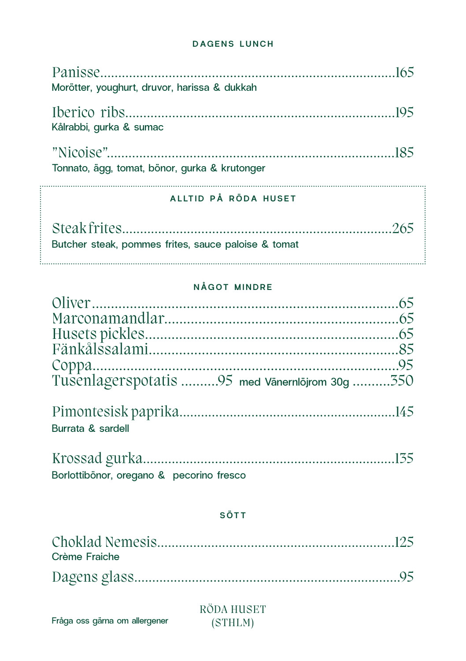## **DAGENS LUNCH**

|                     | Morötter, youghurt, druvor, harissa & dukkah        |  |
|---------------------|-----------------------------------------------------|--|
|                     | Kålrabbi, gurka & sumac                             |  |
|                     | Tonnato, ägg, tomat, bönor, gurka & krutonger       |  |
|                     | ALLTID PÅ RÖDA HUSET                                |  |
|                     |                                                     |  |
|                     | Butcher steak, pommes frites, sauce paloise & tomat |  |
| <b>NÅGOT MINDRE</b> |                                                     |  |
|                     |                                                     |  |
|                     |                                                     |  |
|                     |                                                     |  |
|                     | Fänkålssalami<br>R <sub>5</sub>                     |  |

| Tusenlagerspotatis 95 med Vänernlöjrom 30g 350 |
|------------------------------------------------|
|                                                |

| Burrata & sardell |  |
|-------------------|--|

| Borlottibönor, oregano & pecorino fresco |  |
|------------------------------------------|--|

## SÖTT

| Crème Fraiche |  |
|---------------|--|
|               |  |